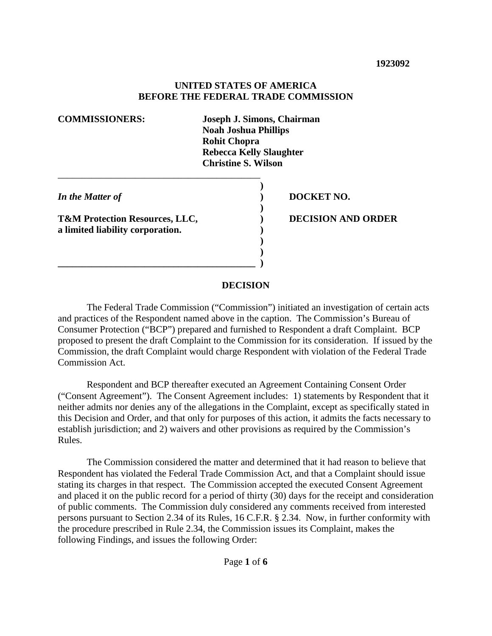#### **UNITED STATES OF AMERICA BEFORE THE FEDERAL TRADE COMMISSION**

**COMMISSIONERS: Joseph J. Simons, Chairman Noah Joshua Phillips Rohit Chopra Rebecca Kelly Slaughter Christine S. Wilson**

*In the Matter of* 

 **) T&M Protection Resources, LLC, ) a limited liability corporation. )** 

\_\_\_\_\_\_\_\_\_\_\_\_\_\_\_\_\_\_\_\_\_\_\_\_\_\_\_\_\_\_\_\_\_\_\_\_\_\_\_\_\_\_  **)** 

 **) ) \_\_\_\_\_\_\_\_\_\_\_\_\_\_\_\_\_\_\_\_\_\_\_\_\_\_\_\_\_\_\_\_\_\_\_\_\_\_\_\_\_ )**  **DOCKET NO.**

**DECISION AND ORDER** 

#### **DECISION**

The Federal Trade Commission ("Commission") initiated an investigation of certain acts and practices of the Respondent named above in the caption. The Commission's Bureau of Consumer Protection ("BCP") prepared and furnished to Respondent a draft Complaint. BCP proposed to present the draft Complaint to the Commission for its consideration. If issued by the Commission, the draft Complaint would charge Respondent with violation of the Federal Trade Commission Act.

Respondent and BCP thereafter executed an Agreement Containing Consent Order ("Consent Agreement"). The Consent Agreement includes: 1) statements by Respondent that it neither admits nor denies any of the allegations in the Complaint, except as specifically stated in this Decision and Order, and that only for purposes of this action, it admits the facts necessary to establish jurisdiction; and 2) waivers and other provisions as required by the Commission's Rules.

The Commission considered the matter and determined that it had reason to believe that Respondent has violated the Federal Trade Commission Act, and that a Complaint should issue stating its charges in that respect. The Commission accepted the executed Consent Agreement and placed it on the public record for a period of thirty (30) days for the receipt and consideration of public comments. The Commission duly considered any comments received from interested persons pursuant to Section 2.34 of its Rules, 16 C.F.R. § 2.34. Now, in further conformity with the procedure prescribed in Rule 2.34, the Commission issues its Complaint, makes the following Findings, and issues the following Order: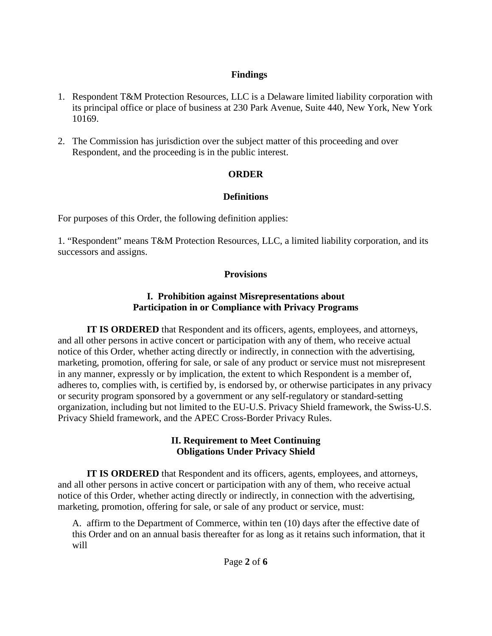### **Findings**

- 1. Respondent T&M Protection Resources, LLC is a Delaware limited liability corporation with its principal office or place of business at 230 Park Avenue, Suite 440, New York, New York 10169.
- 2. The Commission has jurisdiction over the subject matter of this proceeding and over Respondent, and the proceeding is in the public interest.

# **ORDER**

# **Definitions**

For purposes of this Order, the following definition applies:

1. "Respondent" means T&M Protection Resources, LLC, a limited liability corporation, and its successors and assigns.

## **Provisions**

### **I. Prohibition against Misrepresentations about Participation in or Compliance with Privacy Programs**

**IT IS ORDERED** that Respondent and its officers, agents, employees, and attorneys, and all other persons in active concert or participation with any of them, who receive actual notice of this Order, whether acting directly or indirectly, in connection with the advertising, marketing, promotion, offering for sale, or sale of any product or service must not misrepresent in any manner, expressly or by implication, the extent to which Respondent is a member of, adheres to, complies with, is certified by, is endorsed by, or otherwise participates in any privacy or security program sponsored by a government or any self-regulatory or standard-setting organization, including but not limited to the EU-U.S. Privacy Shield framework, the Swiss-U.S. Privacy Shield framework, and the APEC Cross-Border Privacy Rules.

## **II. Requirement to Meet Continuing Obligations Under Privacy Shield**

**IT IS ORDERED** that Respondent and its officers, agents, employees, and attorneys, and all other persons in active concert or participation with any of them, who receive actual notice of this Order, whether acting directly or indirectly, in connection with the advertising, marketing, promotion, offering for sale, or sale of any product or service, must:

A. affirm to the Department of Commerce, within ten (10) days after the effective date of this Order and on an annual basis thereafter for as long as it retains such information, that it will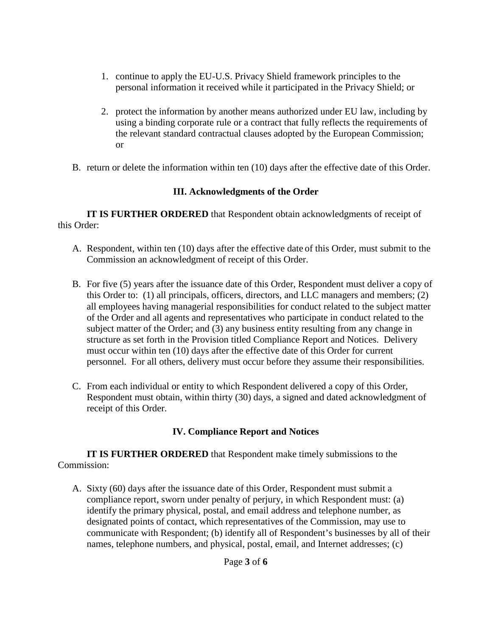- 1. continue to apply the EU-U.S. Privacy Shield framework principles to the personal information it received while it participated in the Privacy Shield; or
- 2. protect the information by another means authorized under EU law, including by using a binding corporate rule or a contract that fully reflects the requirements of the relevant standard contractual clauses adopted by the European Commission; or
- B. return or delete the information within ten (10) days after the effective date of this Order.

### **III. Acknowledgments of the Order**

**IT IS FURTHER ORDERED** that Respondent obtain acknowledgments of receipt of this Order:

- A. Respondent, within ten (10) days after the effective date of this Order, must submit to the Commission an acknowledgment of receipt of this Order.
- B. For five (5) years after the issuance date of this Order, Respondent must deliver a copy of this Order to: (1) all principals, officers, directors, and LLC managers and members; (2) all employees having managerial responsibilities for conduct related to the subject matter of the Order and all agents and representatives who participate in conduct related to the subject matter of the Order; and (3) any business entity resulting from any change in structure as set forth in the Provision titled Compliance Report and Notices. Delivery must occur within ten (10) days after the effective date of this Order for current personnel. For all others, delivery must occur before they assume their responsibilities.
- C. From each individual or entity to which Respondent delivered a copy of this Order, Respondent must obtain, within thirty (30) days, a signed and dated acknowledgment of receipt of this Order.

# **IV. Compliance Report and Notices**

**IT IS FURTHER ORDERED** that Respondent make timely submissions to the Commission:

A. Sixty (60) days after the issuance date of this Order, Respondent must submit a compliance report, sworn under penalty of perjury, in which Respondent must: (a) identify the primary physical, postal, and email address and telephone number, as designated points of contact, which representatives of the Commission, may use to communicate with Respondent; (b) identify all of Respondent's businesses by all of their names, telephone numbers, and physical, postal, email, and Internet addresses; (c)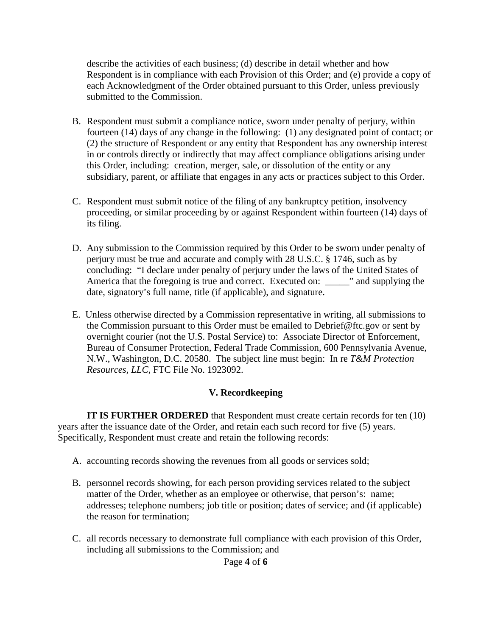describe the activities of each business; (d) describe in detail whether and how Respondent is in compliance with each Provision of this Order; and (e) provide a copy of each Acknowledgment of the Order obtained pursuant to this Order, unless previously submitted to the Commission.

- B. Respondent must submit a compliance notice, sworn under penalty of perjury, within fourteen (14) days of any change in the following: (1) any designated point of contact; or (2) the structure of Respondent or any entity that Respondent has any ownership interest in or controls directly or indirectly that may affect compliance obligations arising under this Order, including: creation, merger, sale, or dissolution of the entity or any subsidiary, parent, or affiliate that engages in any acts or practices subject to this Order.
- C. Respondent must submit notice of the filing of any bankruptcy petition, insolvency proceeding, or similar proceeding by or against Respondent within fourteen (14) days of its filing.
- D. Any submission to the Commission required by this Order to be sworn under penalty of perjury must be true and accurate and comply with 28 U.S.C. § 1746, such as by concluding: "I declare under penalty of perjury under the laws of the United States of America that the foregoing is true and correct. Executed on: \_\_\_\_\_" and supplying the date, signatory's full name, title (if applicable), and signature.
- E. Unless otherwise directed by a Commission representative in writing, all submissions to the Commission pursuant to this Order must be emailed to Debrief@ftc.gov or sent by overnight courier (not the U.S. Postal Service) to: Associate Director of Enforcement, Bureau of Consumer Protection, Federal Trade Commission, 600 Pennsylvania Avenue, N.W., Washington, D.C. 20580. The subject line must begin: In re *T&M Protection Resources, LLC*, FTC File No. 1923092.

#### **V. Recordkeeping**

**IT IS FURTHER ORDERED** that Respondent must create certain records for ten (10) years after the issuance date of the Order, and retain each such record for five (5) years. Specifically, Respondent must create and retain the following records:

- A. accounting records showing the revenues from all goods or services sold;
- B. personnel records showing, for each person providing services related to the subject matter of the Order, whether as an employee or otherwise, that person's: name; addresses; telephone numbers; job title or position; dates of service; and (if applicable) the reason for termination;
- C. all records necessary to demonstrate full compliance with each provision of this Order, including all submissions to the Commission; and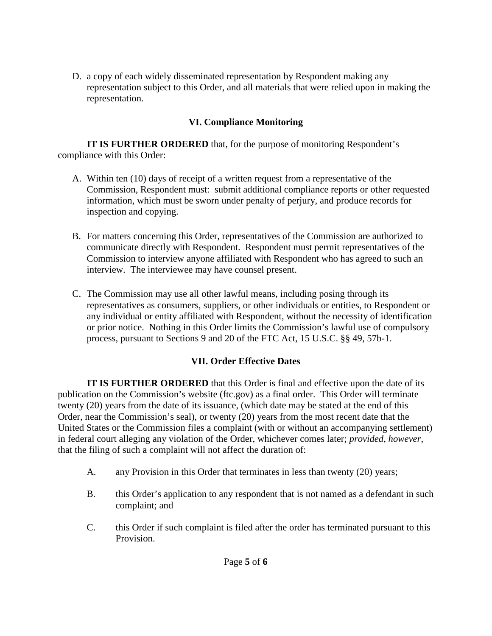D. a copy of each widely disseminated representation by Respondent making any representation subject to this Order, and all materials that were relied upon in making the representation.

## **VI. Compliance Monitoring**

**IT IS FURTHER ORDERED** that, for the purpose of monitoring Respondent's compliance with this Order:

- A. Within ten (10) days of receipt of a written request from a representative of the Commission, Respondent must: submit additional compliance reports or other requested information, which must be sworn under penalty of perjury, and produce records for inspection and copying.
- B. For matters concerning this Order, representatives of the Commission are authorized to communicate directly with Respondent. Respondent must permit representatives of the Commission to interview anyone affiliated with Respondent who has agreed to such an interview. The interviewee may have counsel present.
- C. The Commission may use all other lawful means, including posing through its representatives as consumers, suppliers, or other individuals or entities, to Respondent or any individual or entity affiliated with Respondent, without the necessity of identification or prior notice. Nothing in this Order limits the Commission's lawful use of compulsory process, pursuant to Sections 9 and 20 of the FTC Act, 15 U.S.C. §§ 49, 57b-1.

# **VII. Order Effective Dates**

**IT IS FURTHER ORDERED** that this Order is final and effective upon the date of its publication on the Commission's website (ftc.gov) as a final order. This Order will terminate twenty (20) years from the date of its issuance, (which date may be stated at the end of this Order, near the Commission's seal), or twenty (20) years from the most recent date that the United States or the Commission files a complaint (with or without an accompanying settlement) in federal court alleging any violation of the Order, whichever comes later; *provided, however*, that the filing of such a complaint will not affect the duration of:

- A. any Provision in this Order that terminates in less than twenty (20) years;
- B. this Order's application to any respondent that is not named as a defendant in such complaint; and
- C. this Order if such complaint is filed after the order has terminated pursuant to this Provision.